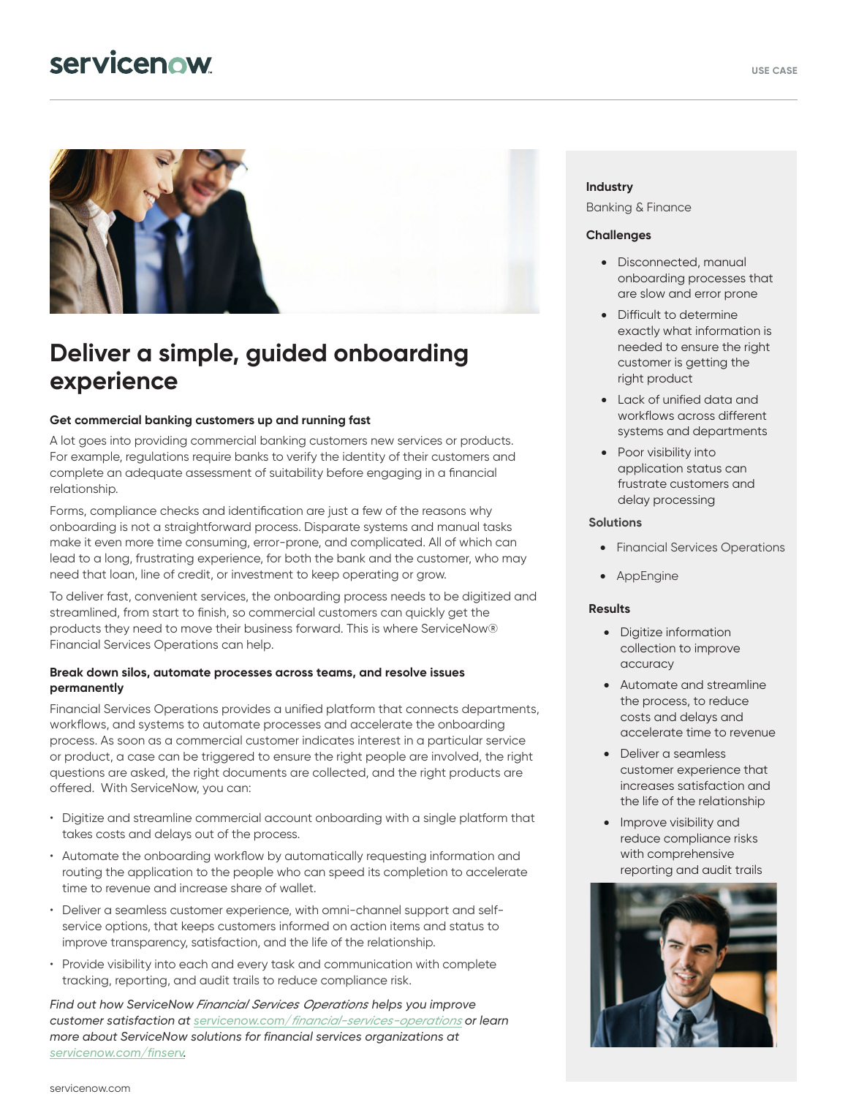# servicenow



## **Deliver a simple, guided onboarding experience**

#### **Get commercial banking customers up and running fast**

A lot goes into providing commercial banking customers new services or products. For example, regulations require banks to verify the identity of their customers and complete an adequate assessment of suitability before engaging in a financial relationship.

Forms, compliance checks and identification are just a few of the reasons why onboarding is not a straightforward process. Disparate systems and manual tasks make it even more time consuming, error-prone, and complicated. All of which can lead to a long, frustrating experience, for both the bank and the customer, who may need that loan, line of credit, or investment to keep operating or grow.

To deliver fast, convenient services, the onboarding process needs to be digitized and streamlined, from start to finish, so commercial customers can quickly get the products they need to move their business forward. This is where ServiceNow® Financial Services Operations can help.

#### **Break down silos, automate processes across teams, and resolve issues permanently**

Financial Services Operations provides a unified platform that connects departments, workflows, and systems to automate processes and accelerate the onboarding process. As soon as a commercial customer indicates interest in a particular service or product, a case can be triggered to ensure the right people are involved, the right questions are asked, the right documents are collected, and the right products are offered. With ServiceNow, you can:

- Digitize and streamline commercial account onboarding with a single platform that takes costs and delays out of the process.
- Automate the onboarding workflow by automatically requesting information and routing the application to the people who can speed its completion to accelerate time to revenue and increase share of wallet.
- Deliver a seamless customer experience, with omni-channel support and selfservice options, that keeps customers informed on action items and status to improve transparency, satisfaction, and the life of the relationship.
- Provide visibility into each and every task and communication with complete tracking, reporting, and audit trails to reduce compliance risk.

*Find out how ServiceNow Financial Services Operations helps you improve customer satisfaction at servicenow.com/[financial-services-operations](https://www.servicenow.com/products/financial-services-operations.html) or learn more about ServiceNow solutions for financial services organizations at servicenow.com/finserv.* 

#### **Industry**

Banking & Finance

#### **Challenges**

- Disconnected, manual onboarding processes that are slow and error prone
- Difficult to determine exactly what information is needed to ensure the right customer is getting the right product
- Lack of unified data and workflows across different systems and departments
- Poor visibility into application status can frustrate customers and delay processing

#### **Solutions**

- Financial Services Operations
- **AppEngine**

#### **Results**

- Digitize information collection to improve accuracy
- Automate and streamline the process, to reduce costs and delays and accelerate time to revenue
- Deliver a seamless customer experience that increases satisfaction and the life of the relationship
- Improve visibility and reduce compliance risks with comprehensive reporting and audit trails